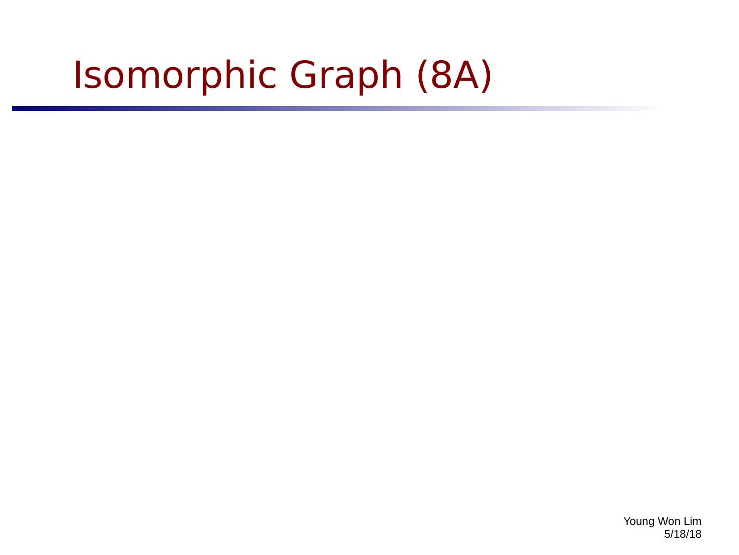# Isomorphic Graph (8A)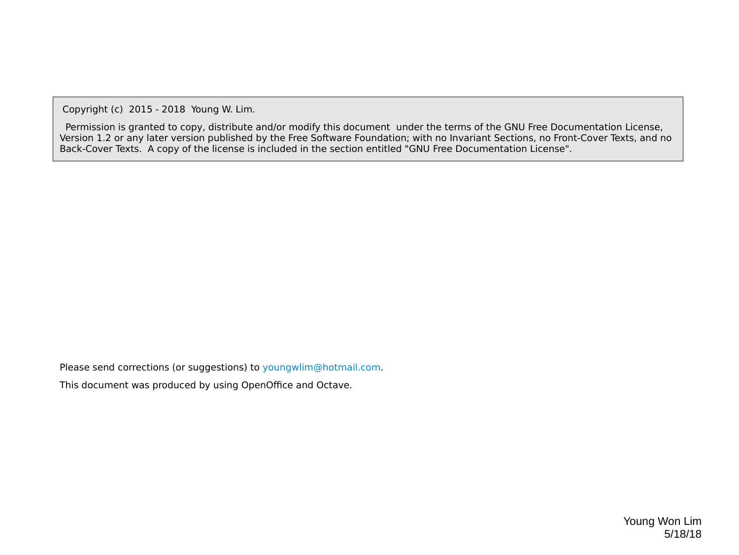Copyright (c) 2015 - 2018 Young W. Lim.

 Permission is granted to copy, distribute and/or modify this document under the terms of the GNU Free Documentation License, Version 1.2 or any later version published by the Free Software Foundation; with no Invariant Sections, no Front-Cover Texts, and no Back-Cover Texts. A copy of the license is included in the section entitled "GNU Free Documentation License".

Please send corrections (or suggestions) to [youngwlim@hotmail.com](mailto:youngwlim@hotmail.com).

This document was produced by using OpenOffice and Octave.

Young Won Lim 5/18/18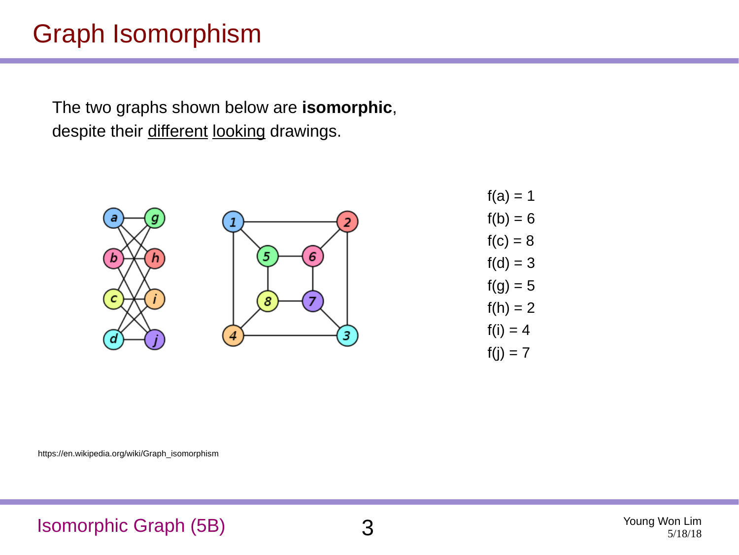#### Graph Isomorphism

The two graphs shown below are **isomorphic**, despite their different looking drawings.

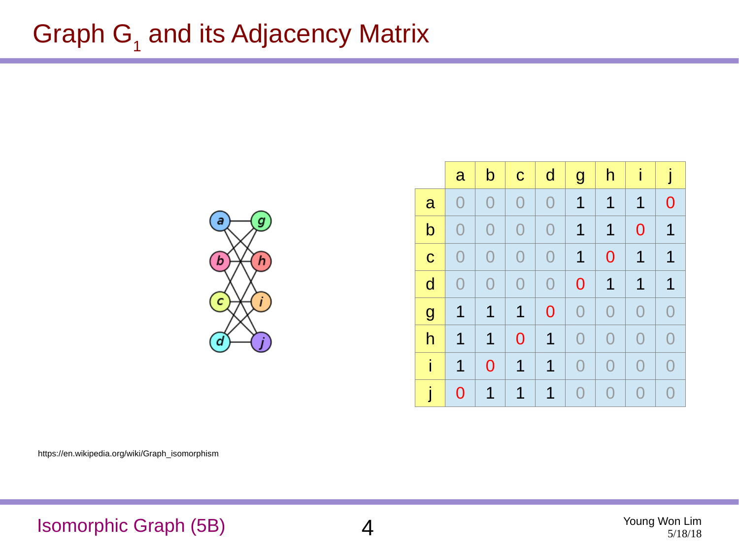## Graph  $G_1$  and its Adjacency Matrix



|                | $\mathbf{a}$   | $\mathsf b$    | $\mathbf C$    | $\mathsf{d}$   | $\mathbf{g}$   | h              | İ              | j              |
|----------------|----------------|----------------|----------------|----------------|----------------|----------------|----------------|----------------|
| a              | $\overline{0}$ | $\overline{0}$ | $\overline{0}$ | $\overline{0}$ | $\mathbf{1}$   | $\mathbf 1$    | $\mathbf 1$    | $\overline{0}$ |
| $\mathsf b$    | $\overline{0}$ | $\overline{0}$ | $\overline{0}$ | $\overline{0}$ | $\mathbf{1}$   | $\mathbf 1$    | $\overline{0}$ | $\mathbf 1$    |
| $\mathbf C$    | $\overline{0}$ | $\overline{0}$ | $\overline{0}$ | $\overline{0}$ | $\mathbf 1$    | $\mathbf 0$    | $\mathbf 1$    | $\mathbf{1}$   |
| $\mathsf{d}$   | $\overline{0}$ | $\overline{0}$ | $\overline{0}$ | $\overline{0}$ | $\overline{0}$ | $\mathbf{1}$   | $\mathbf 1$    | $\mathbf 1$    |
| $\overline{g}$ | $\mathbf 1$    | $\mathbf 1$    | $\mathbf 1$    | $\mathbf 0$    | $\overline{0}$ | $\overline{0}$ | $\overline{0}$ | $\overline{0}$ |
| h              | $\mathbf{1}$   | $\mathbf 1$    | $\mathbf 0$    | $\mathbf 1$    | $\overline{0}$ | $\overline{0}$ | $\overline{0}$ | $\overline{0}$ |
| i              | $\mathbf 1$    | $\overline{0}$ | $\mathbf 1$    | $\mathbf 1$    | $\overline{0}$ | $\overline{0}$ | $\overline{0}$ | $\overline{0}$ |
|                | $\overline{0}$ | $\mathbf 1$    | $\mathbf 1$    | $\mathbf 1$    | $\overline{0}$ | $\overline{0}$ | $\overline{0}$ | $\overline{0}$ |

https://en.wikipedia.org/wiki/Graph\_isomorphism

Isomorphic Graph (5B) 4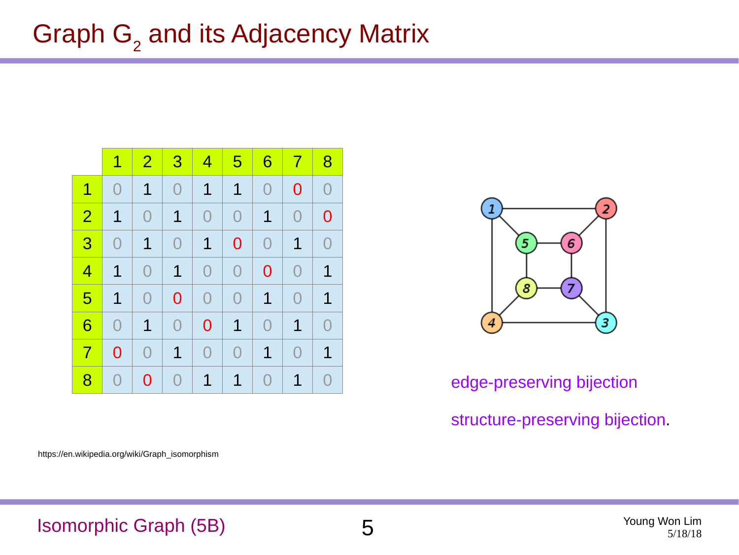|                | $\mathbf 1$    | $\overline{2}$ | $\overline{3}$ | $\vert 4 \vert$ | $5\overline{)}$ | 6              | $\overline{7}$ | 8              |
|----------------|----------------|----------------|----------------|-----------------|-----------------|----------------|----------------|----------------|
| $\mathbf 1$    | $\overline{0}$ | $\mathbf 1$    | $\overline{0}$ | $\mathbf 1$     | $\mathbf 1$     | $\overline{0}$ | $\overline{0}$ | $\overline{0}$ |
| $\overline{2}$ | $\mathbf 1$    | $\overline{0}$ | $\mathbf 1$    | $\overline{0}$  | $\overline{0}$  | $\mathbf 1$    | $\overline{0}$ | $\overline{0}$ |
| 3              | $\overline{0}$ | $\mathbf 1$    | $\overline{0}$ | $\mathbf 1$     | $\overline{0}$  | $\overline{0}$ | $\mathbf 1$    | $\overline{0}$ |
| 4              | $\mathbf 1$    | $\overline{0}$ | $\mathbf 1$    | $\overline{0}$  | $\overline{0}$  | $\overline{0}$ | $\overline{0}$ | $\mathbf 1$    |
| 5              | $\mathbf 1$    | $\overline{0}$ | $\overline{0}$ | $\overline{0}$  | $\overline{0}$  | $\mathbf 1$    | $\overline{0}$ | $\mathbf 1$    |
| 6              | $\overline{0}$ | $\mathbf 1$    | $\overline{0}$ | $\overline{0}$  | $\mathbf 1$     | $\overline{0}$ | $\mathbf 1$    | $\overline{0}$ |
| $\overline{7}$ | 0              | $\overline{0}$ | $\mathbf 1$    | $\rm{O}$        | 0               | $\mathbf 1$    | $\overline{0}$ | $\mathbf 1$    |
| 8              | $\bigcap$      | $\Omega$       | $\overline{0}$ | $\mathbf 1$     | $\mathbf 1$     | O              | $\mathbf 1$    | $\overline{0}$ |



#### edge-preserving bijection structure-preserving bijection.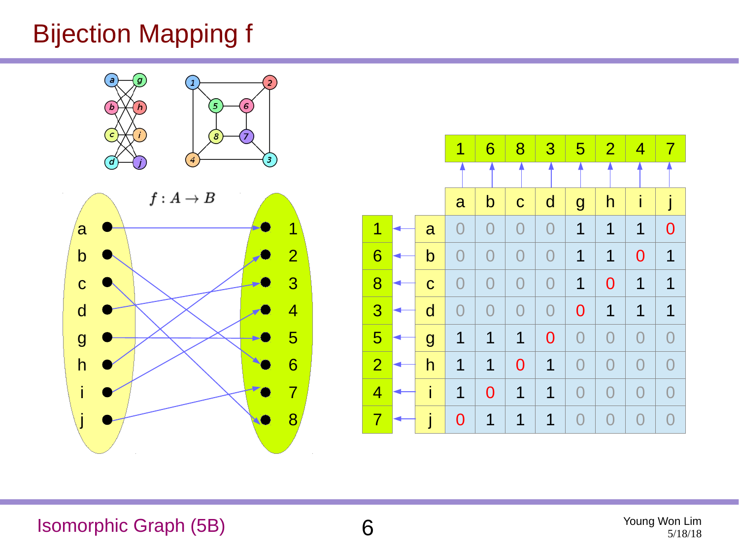### Bijection Mapping f







Isomorphic Graph (5B) 6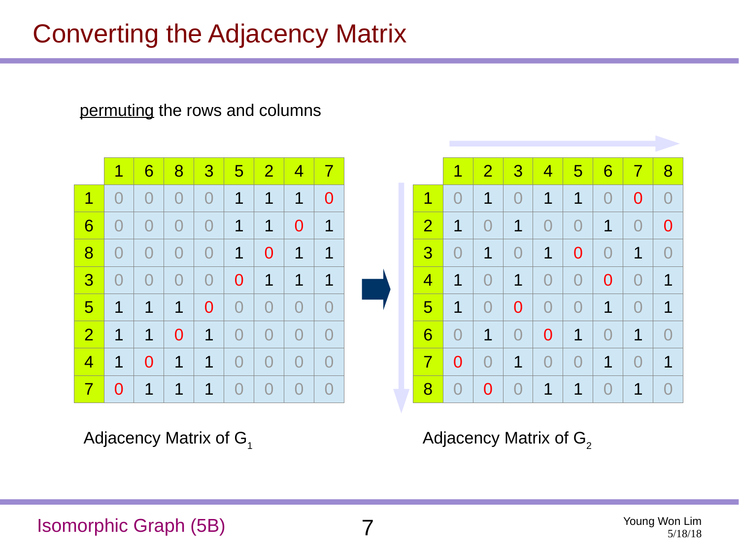#### Converting the Adjacency Matrix

permuting the rows and columns



Adjacency Matrix of  $G_1$   $\qquad \qquad$  Adjacency Matrix of  $G_2$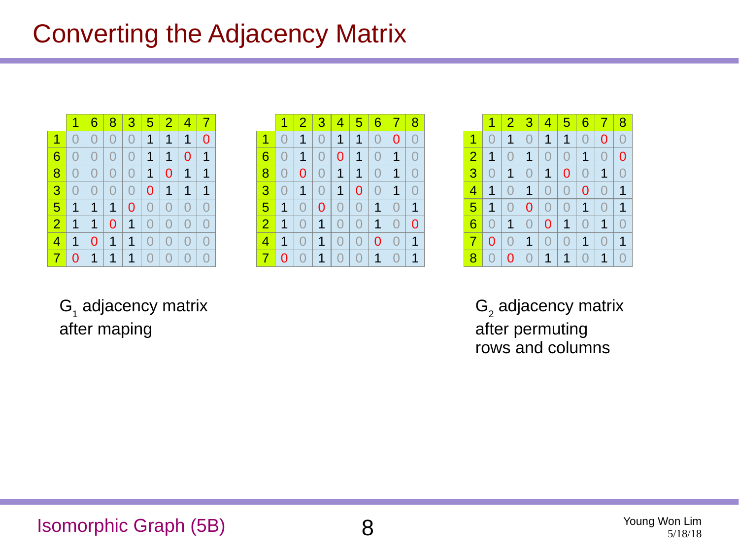#### Converting the Adjacency Matrix

|                | $\mathbf{1}$   | 6              |                 |                |                |                 | 8 3 5 2 4 7    |                |
|----------------|----------------|----------------|-----------------|----------------|----------------|-----------------|----------------|----------------|
| $\mathbf 1$    | O              | 0              | $\overline{O}$  |                | 0 1            | $\vert 1 \vert$ | $\mathbf{1}$   | $\overline{0}$ |
| 6              | 0              | $\overline{0}$ | 0 <sup>1</sup>  |                | 0   1   1      |                 | $\overline{0}$ | $\mathbf{1}$   |
| 8              | O              | $\overline{0}$ | 0 <sup>1</sup>  | 0 <sup>1</sup> | $\mathbf{1}$   | $\overline{0}$  | $\vert$ 1      | $\mathbf{1}$   |
| 3              | $\overline{0}$ | 0              | 0 <sup>1</sup>  | 0 <sup>1</sup> | $\overline{0}$ | $\mathbf{1}$    | $\mathbf{1}$   | $\mathbf{1}$   |
| 5 <sup>1</sup> | $\mathbf{1}$   | $\mathbf{1}$   | $\vert 1 \vert$ | 0 <sup>1</sup> | $\overline{0}$ | $\overline{0}$  | $\overline{0}$ | $\overline{O}$ |
| 2              | $\mathbf{1}$   | 1              | 0 <sup>1</sup>  | $1\vert$       | $\overline{0}$ | 0 <sup>1</sup>  | $\overline{0}$ | $\overline{0}$ |
| 4              | $\mathbf{1}$   | 0              | $\vert 1 \vert$ | $1\vert$       | $\overline{0}$ | 0 <sup>1</sup>  | $\overline{0}$ | $\overline{O}$ |
| 7 <sup>1</sup> | 0              | $\mathbf{1}$   | $\mathbf{1}$    | 1              | $\overline{0}$ | 0 <sup>1</sup>  | $\overline{0}$ | $\overline{0}$ |

|                | 1                | $\vert$ 2      | $\perp$ 3      | $14156$          |                 |                | -7                      | <u> 18</u>     |
|----------------|------------------|----------------|----------------|------------------|-----------------|----------------|-------------------------|----------------|
| 1              | $\left( \right)$ | 1              | $\overline{0}$ | $\mathbf{1}$     | $\mathbf{1}$    | $\overline{0}$ | 0                       | $\overline{0}$ |
| 6              | $\left( \right)$ | $\mathbf 1$    | $\Omega$       | $\overline{0}$   | $\vert$ 1       | $\overline{0}$ | $\mathbf{1}$            | $\bigcirc$     |
| 8              | $\bigcap$        | $\overline{0}$ | $\overline{0}$ | $\mathbf{T}$     | $\vert 1 \vert$ | $\overline{0}$ | $\overline{\mathbf{1}}$ | $\Omega$       |
| 3              | $\left( \right)$ | $\mathbf{1}$   | $\overline{0}$ | $\mathbf{1}$     | $\overline{0}$  | $\overline{0}$ | $\mathbf{1}$            | $\Omega$       |
| 5              | 1                | $\Omega$       | $\overline{0}$ | $\Omega$         | $\overline{0}$  | $\mathbf{1}$   | $\Omega$                | $\mathbf{1}$   |
| $\overline{2}$ | $\mathbf 1$      | $\Omega$       | 1 <sup>1</sup> | $\Omega$         | $\overline{0}$  | $\mathbf{1}$   | $\Omega$                | $\overline{0}$ |
| 4              | 1                | $\overline{O}$ | $\mathbf{1}$   | $\left( \right)$ | $\Omega$        | 0              | $\left( \right)$        | 1              |
| 7              | 0                | $\overline{O}$ | 1              | $\overline{0}$   | $\overline{O}$  | $\overline{1}$ | O                       | $\mathbf{1}$   |



 ${\sf G}_{_{1}}$  adjacency matrix after maping

 $\mathsf{G}_\mathsf{2}$  adjacency matrix after permuting rows and columns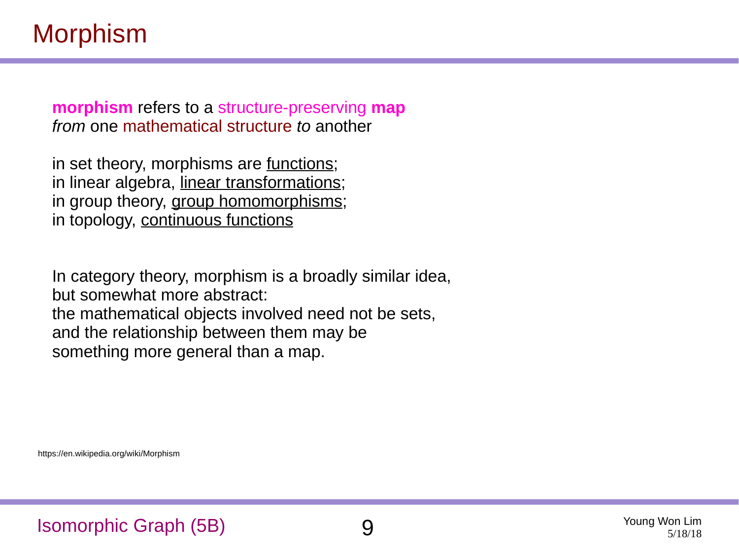#### Morphism

**morphism** refers to a structure-preserving **map** *from* one mathematical structure *to* another

in set theory, morphisms are functions; in linear algebra, linear transformations; in group theory, group homomorphisms; in topology, continuous functions

In category theory, morphism is a broadly similar idea, but somewhat more abstract: the mathematical objects involved need not be sets, and the relationship between them may be something more general than a map.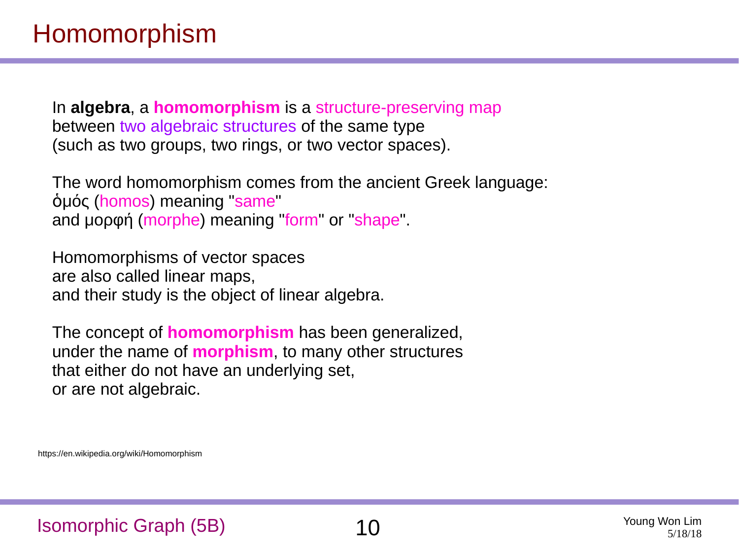#### Homomorphism

In **algebra**, a **homomorphism** is a structure-preserving map between two algebraic structures of the same type (such as two groups, two rings, or two vector spaces).

The word homomorphism comes from the ancient Greek language: ὁμός (homos) meaning "same" and μορφή (morphe) meaning "form" or "shape".

Homomorphisms of vector spaces are also called linear maps, and their study is the object of linear algebra.

The concept of **homomorphism** has been generalized, under the name of **morphism**, to many other structures that either do not have an underlying set, or are not algebraic.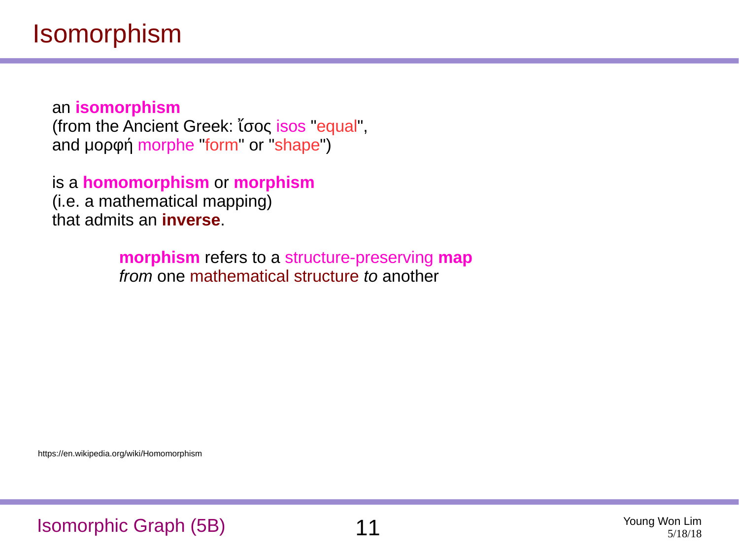an **isomorphism** (from the Ancient Greek: ἴσος isos "equal", and μορφή morphe "form" or "shape")

is a **homomorphism** or **morphism** (i.e. a mathematical mapping) that admits an **inverse**.

> **morphism** refers to a structure-preserving **map** *from* one mathematical structure *to* another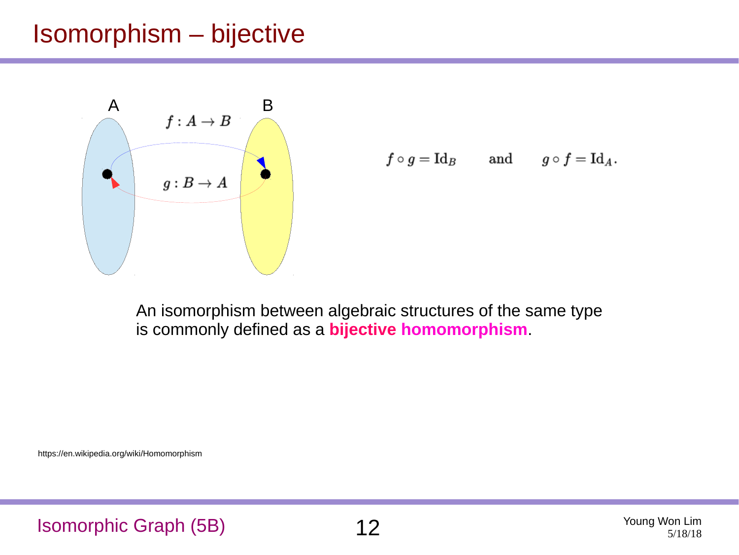#### Isomorphism – bijective



$$
f\circ g = \mathrm{Id}_B \qquad \text{and} \qquad g\circ f = \mathrm{Id}_A.
$$

An isomorphism between algebraic structures of the same type is commonly defined as a **bijective homomorphism**.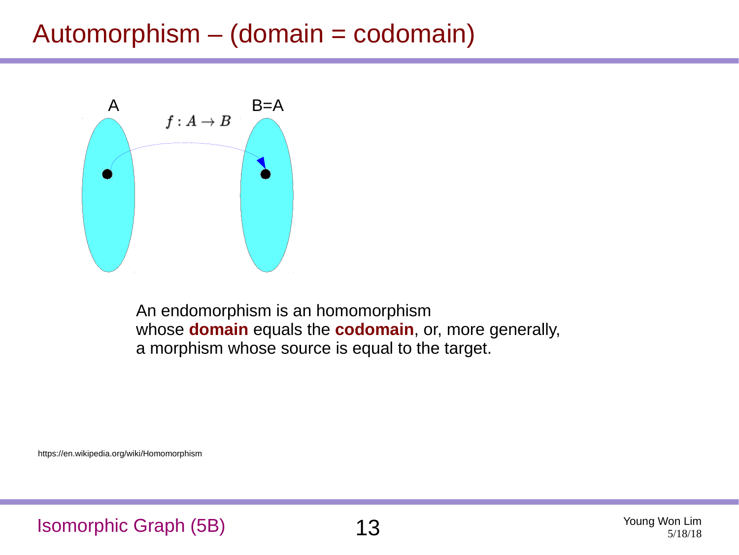#### Automorphism – (domain = codomain)



An endomorphism is an homomorphism whose **domain** equals the **codomain**, or, more generally, a morphism whose source is equal to the target.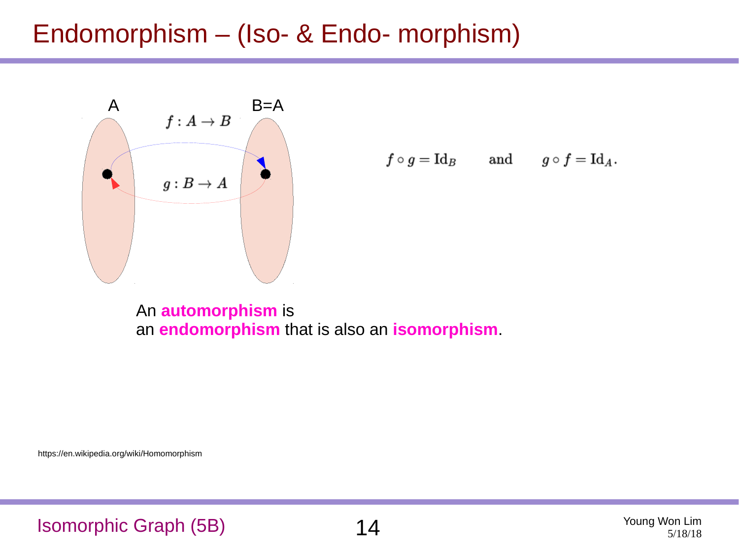#### Endomorphism – (Iso- & Endo- morphism)



$$
f \circ g = \text{Id}_B
$$
 and  $g \circ f = \text{Id}_A$ .

An **automorphism** is an **endomorphism** that is also an **isomorphism**.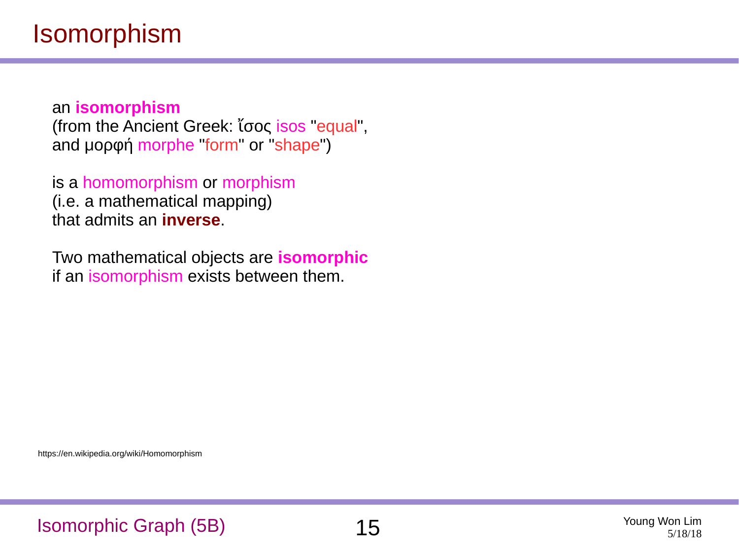an **isomorphism** (from the Ancient Greek: ἴσος isos "equal", and μορφή morphe "form" or "shape")

is a homomorphism or morphism (i.e. a mathematical mapping) that admits an **inverse**.

Two mathematical objects are **isomorphic** if an isomorphism exists between them.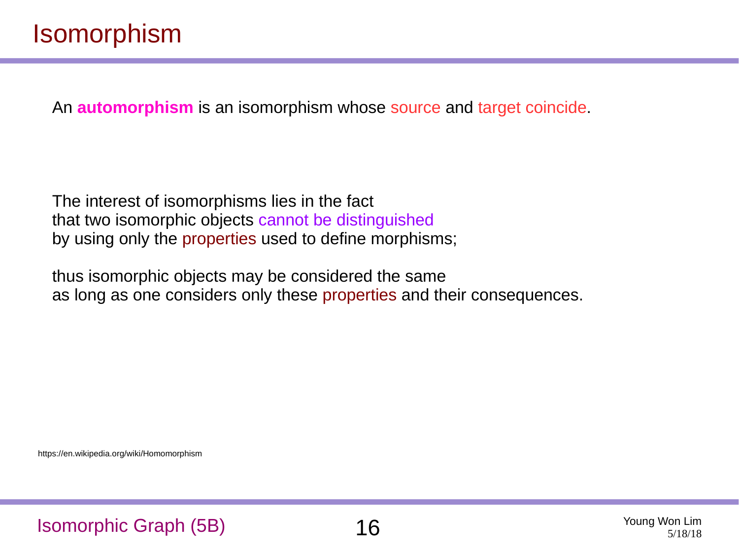An **automorphism** is an isomorphism whose source and target coincide.

The interest of isomorphisms lies in the fact that two isomorphic objects cannot be distinguished by using only the properties used to define morphisms;

thus isomorphic objects may be considered the same as long as one considers only these properties and their consequences.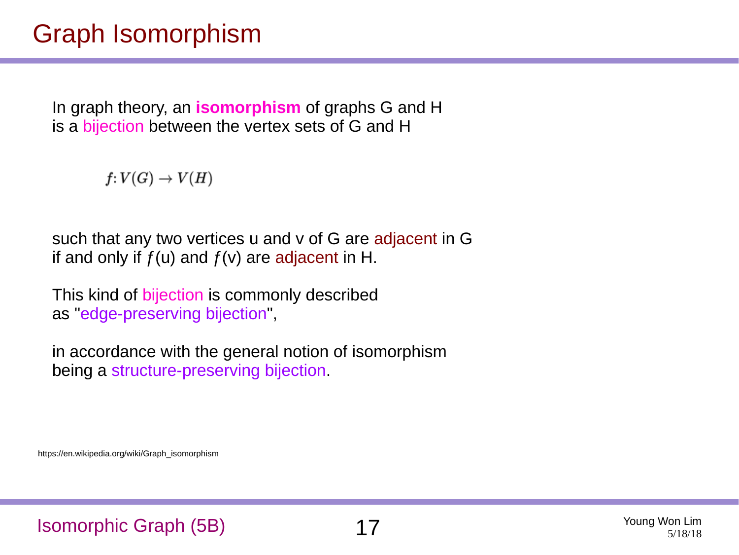#### Graph Isomorphism

In graph theory, an **isomorphism** of graphs G and H is a bijection between the vertex sets of G and H

 $f: V(G) \rightarrow V(H)$ 

such that any two vertices u and v of G are adjacent in G if and only if  $f(u)$  and  $f(v)$  are adjacent in H.

This kind of bijection is commonly described as "edge-preserving bijection",

in accordance with the general notion of isomorphism being a structure-preserving bijection.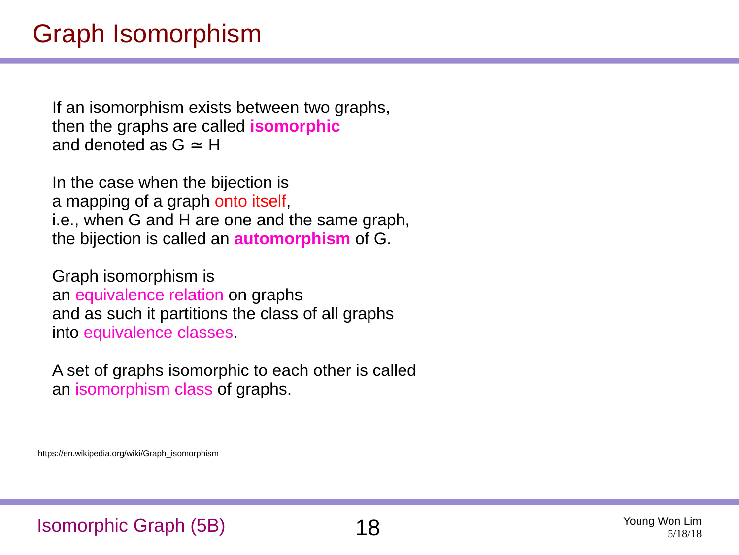If an isomorphism exists between two graphs, then the graphs are called **isomorphic** and denoted as  $G \approx H$ 

In the case when the bijection is a mapping of a graph onto itself, i.e., when G and H are one and the same graph, the bijection is called an **automorphism** of G.

Graph isomorphism is an equivalence relation on graphs and as such it partitions the class of all graphs into equivalence classes.

A set of graphs isomorphic to each other is called an isomorphism class of graphs.